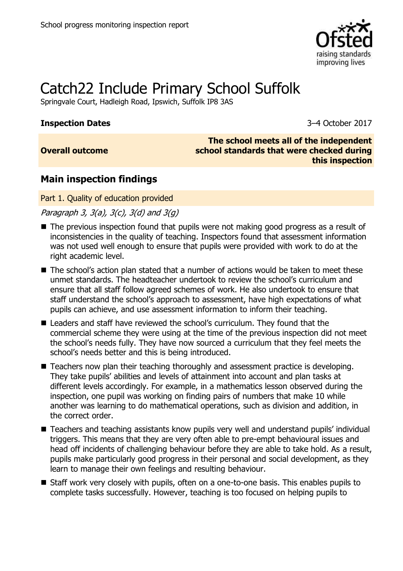

# Catch22 Include Primary School Suffolk

Springvale Court, Hadleigh Road, Ipswich, Suffolk IP8 3AS

#### **Inspection Dates** 3–4 October 2017

## **Overall outcome**

**The school meets all of the independent school standards that were checked during this inspection**

## **Main inspection findings**

Part 1. Quality of education provided

Paragraph 3,  $3(a)$ ,  $3(c)$ ,  $3(d)$  and  $3(q)$ 

- The previous inspection found that pupils were not making good progress as a result of inconsistencies in the quality of teaching. Inspectors found that assessment information was not used well enough to ensure that pupils were provided with work to do at the right academic level.
- The school's action plan stated that a number of actions would be taken to meet these unmet standards. The headteacher undertook to review the school's curriculum and ensure that all staff follow agreed schemes of work. He also undertook to ensure that staff understand the school's approach to assessment, have high expectations of what pupils can achieve, and use assessment information to inform their teaching.
- Leaders and staff have reviewed the school's curriculum. They found that the commercial scheme they were using at the time of the previous inspection did not meet the school's needs fully. They have now sourced a curriculum that they feel meets the school's needs better and this is being introduced.
- Teachers now plan their teaching thoroughly and assessment practice is developing. They take pupils' abilities and levels of attainment into account and plan tasks at different levels accordingly. For example, in a mathematics lesson observed during the inspection, one pupil was working on finding pairs of numbers that make 10 while another was learning to do mathematical operations, such as division and addition, in the correct order.
- Teachers and teaching assistants know pupils very well and understand pupils' individual triggers. This means that they are very often able to pre-empt behavioural issues and head off incidents of challenging behaviour before they are able to take hold. As a result, pupils make particularly good progress in their personal and social development, as they learn to manage their own feelings and resulting behaviour.
- Staff work very closely with pupils, often on a one-to-one basis. This enables pupils to complete tasks successfully. However, teaching is too focused on helping pupils to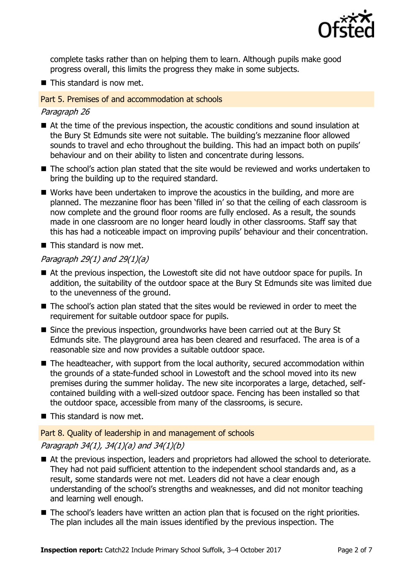

complete tasks rather than on helping them to learn. Although pupils make good progress overall, this limits the progress they make in some subjects.

■ This standard is now met.

#### Part 5. Premises of and accommodation at schools

#### Paragraph 26

- At the time of the previous inspection, the acoustic conditions and sound insulation at the Bury St Edmunds site were not suitable. The building's mezzanine floor allowed sounds to travel and echo throughout the building. This had an impact both on pupils' behaviour and on their ability to listen and concentrate during lessons.
- The school's action plan stated that the site would be reviewed and works undertaken to bring the building up to the required standard.
- Works have been undertaken to improve the acoustics in the building, and more are planned. The mezzanine floor has been 'filled in' so that the ceiling of each classroom is now complete and the ground floor rooms are fully enclosed. As a result, the sounds made in one classroom are no longer heard loudly in other classrooms. Staff say that this has had a noticeable impact on improving pupils' behaviour and their concentration.
- This standard is now met.

#### Paragraph 29 $(1)$  and 29 $(1)(a)$

- At the previous inspection, the Lowestoft site did not have outdoor space for pupils. In addition, the suitability of the outdoor space at the Bury St Edmunds site was limited due to the unevenness of the ground.
- $\blacksquare$  The school's action plan stated that the sites would be reviewed in order to meet the requirement for suitable outdoor space for pupils.
- Since the previous inspection, groundworks have been carried out at the Bury St Edmunds site. The playground area has been cleared and resurfaced. The area is of a reasonable size and now provides a suitable outdoor space.
- The headteacher, with support from the local authority, secured accommodation within the grounds of a state-funded school in Lowestoft and the school moved into its new premises during the summer holiday. The new site incorporates a large, detached, selfcontained building with a well-sized outdoor space. Fencing has been installed so that the outdoor space, accessible from many of the classrooms, is secure.
- This standard is now met.

#### Part 8. Quality of leadership in and management of schools

#### Paragraph 34(1), 34(1)(a) and 34(1)(b)

- At the previous inspection, leaders and proprietors had allowed the school to deteriorate. They had not paid sufficient attention to the independent school standards and, as a result, some standards were not met. Leaders did not have a clear enough understanding of the school's strengths and weaknesses, and did not monitor teaching and learning well enough.
- The school's leaders have written an action plan that is focused on the right priorities. The plan includes all the main issues identified by the previous inspection. The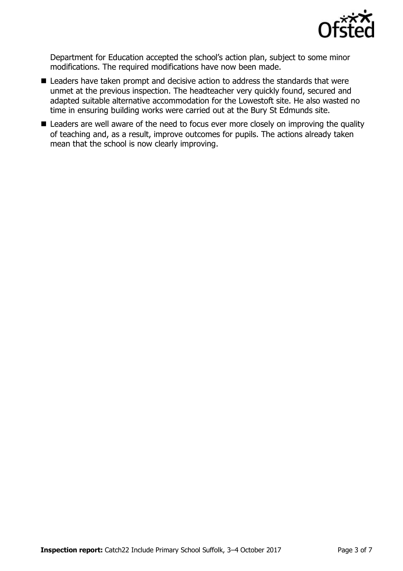

Department for Education accepted the school's action plan, subject to some minor modifications. The required modifications have now been made.

- Leaders have taken prompt and decisive action to address the standards that were unmet at the previous inspection. The headteacher very quickly found, secured and adapted suitable alternative accommodation for the Lowestoft site. He also wasted no time in ensuring building works were carried out at the Bury St Edmunds site.
- Leaders are well aware of the need to focus ever more closely on improving the quality of teaching and, as a result, improve outcomes for pupils. The actions already taken mean that the school is now clearly improving.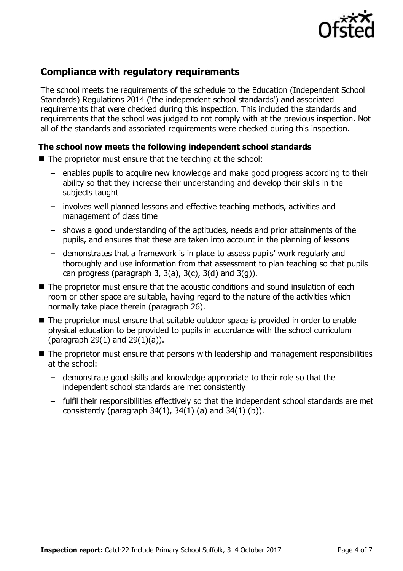

## **Compliance with regulatory requirements**

The school meets the requirements of the schedule to the Education (Independent School Standards) Regulations 2014 ('the independent school standards') and associated requirements that were checked during this inspection. This included the standards and requirements that the school was judged to not comply with at the previous inspection. Not all of the standards and associated requirements were checked during this inspection.

#### **The school now meets the following independent school standards**

- The proprietor must ensure that the teaching at the school:
	- enables pupils to acquire new knowledge and make good progress according to their ability so that they increase their understanding and develop their skills in the subjects taught
	- involves well planned lessons and effective teaching methods, activities and management of class time
	- shows a good understanding of the aptitudes, needs and prior attainments of the pupils, and ensures that these are taken into account in the planning of lessons
	- demonstrates that a framework is in place to assess pupils' work regularly and thoroughly and use information from that assessment to plan teaching so that pupils can progress (paragraph 3,  $3(a)$ ,  $3(c)$ ,  $3(d)$  and  $3(q)$ ).
- The proprietor must ensure that the acoustic conditions and sound insulation of each room or other space are suitable, having regard to the nature of the activities which normally take place therein (paragraph 26).
- The proprietor must ensure that suitable outdoor space is provided in order to enable physical education to be provided to pupils in accordance with the school curriculum (paragraph 29(1) and 29(1)(a)).
- The proprietor must ensure that persons with leadership and management responsibilities at the school:
	- demonstrate good skills and knowledge appropriate to their role so that the independent school standards are met consistently
	- fulfil their responsibilities effectively so that the independent school standards are met consistently (paragraph  $34(1)$ ,  $34(1)$  (a) and  $34(1)$  (b)).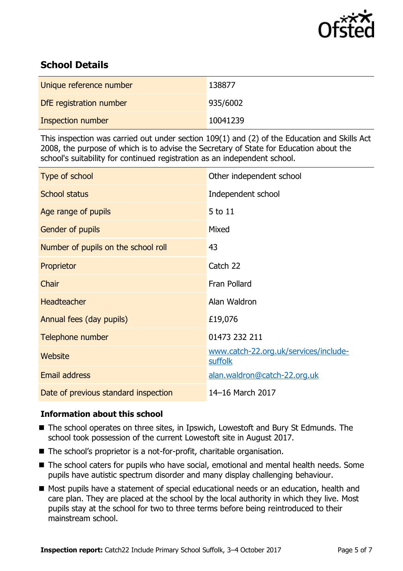

## **School Details**

| Unique reference number | 138877   |
|-------------------------|----------|
| DfE registration number | 935/6002 |
| Inspection number       | 10041239 |

This inspection was carried out under section 109(1) and (2) of the Education and Skills Act 2008, the purpose of which is to advise the Secretary of State for Education about the school's suitability for continued registration as an independent school.

| Type of school                       | Other independent school                         |
|--------------------------------------|--------------------------------------------------|
| <b>School status</b>                 | Independent school                               |
| Age range of pupils                  | 5 to 11                                          |
| Gender of pupils                     | Mixed                                            |
| Number of pupils on the school roll  | 43                                               |
| Proprietor                           | Catch 22                                         |
| Chair                                | Fran Pollard                                     |
| Headteacher                          | Alan Waldron                                     |
| Annual fees (day pupils)             | £19,076                                          |
| Telephone number                     | 01473 232 211                                    |
| <b>Website</b>                       | www.catch-22.org.uk/services/include-<br>suffolk |
| <b>Email address</b>                 | alan.waldron@catch-22.org.uk                     |
| Date of previous standard inspection | 14-16 March 2017                                 |

### **Information about this school**

- The school operates on three sites, in Ipswich, Lowestoft and Bury St Edmunds. The school took possession of the current Lowestoft site in August 2017.
- The school's proprietor is a not-for-profit, charitable organisation.
- The school caters for pupils who have social, emotional and mental health needs. Some pupils have autistic spectrum disorder and many display challenging behaviour.
- Most pupils have a statement of special educational needs or an education, health and care plan. They are placed at the school by the local authority in which they live. Most pupils stay at the school for two to three terms before being reintroduced to their mainstream school.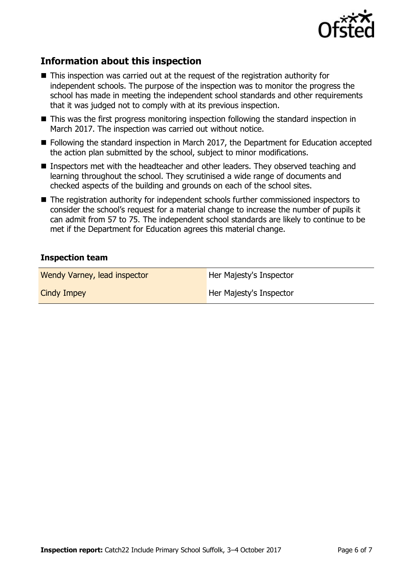

## **Information about this inspection**

- This inspection was carried out at the request of the registration authority for independent schools. The purpose of the inspection was to monitor the progress the school has made in meeting the independent school standards and other requirements that it was judged not to comply with at its previous inspection.
- This was the first progress monitoring inspection following the standard inspection in March 2017. The inspection was carried out without notice.
- Following the standard inspection in March 2017, the Department for Education accepted the action plan submitted by the school, subject to minor modifications.
- Inspectors met with the headteacher and other leaders. They observed teaching and learning throughout the school. They scrutinised a wide range of documents and checked aspects of the building and grounds on each of the school sites.
- The registration authority for independent schools further commissioned inspectors to consider the school's request for a material change to increase the number of pupils it can admit from 57 to 75. The independent school standards are likely to continue to be met if the Department for Education agrees this material change.

#### **Inspection team**

| Wendy Varney, lead inspector | Her Majesty's Inspector |
|------------------------------|-------------------------|
| Cindy Impey                  | Her Majesty's Inspector |